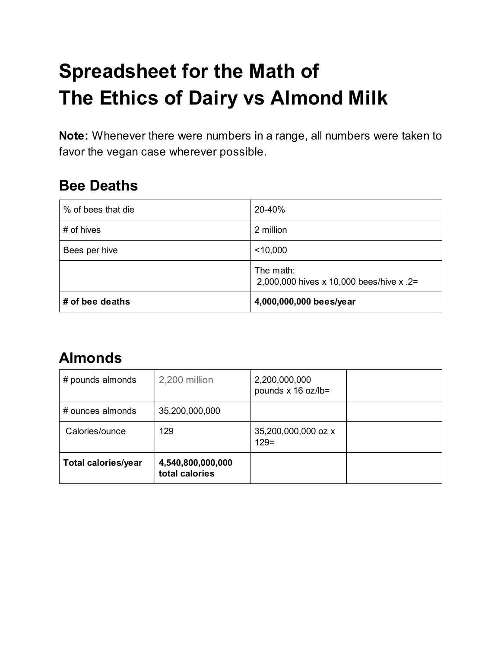# **Spreadsheet for the Math of The Ethics of Dairy vs Almond Milk**

**Note:** Whenever there were numbers in a range, all numbers were taken to favor the vegan case wherever possible.

#### **Bee Deaths**

| % of bees that die | 20-40%                                                |
|--------------------|-------------------------------------------------------|
| # of hives         | 2 million                                             |
| Bees per hive      | $<$ 10,000                                            |
|                    | The math:<br>2,000,000 hives x 10,000 bees/hive x .2= |
| # of bee deaths    | 4,000,000,000 bees/year                               |

#### **Almonds**

| # pounds almonds           | 2,200 million                       | 2,200,000,000<br>pounds x 16 oz/lb= |  |
|----------------------------|-------------------------------------|-------------------------------------|--|
| # ounces almonds           | 35,200,000,000                      |                                     |  |
| Calories/ounce             | 129                                 | 35,200,000,000 oz x<br>$129=$       |  |
| <b>Total calories/year</b> | 4,540,800,000,000<br>total calories |                                     |  |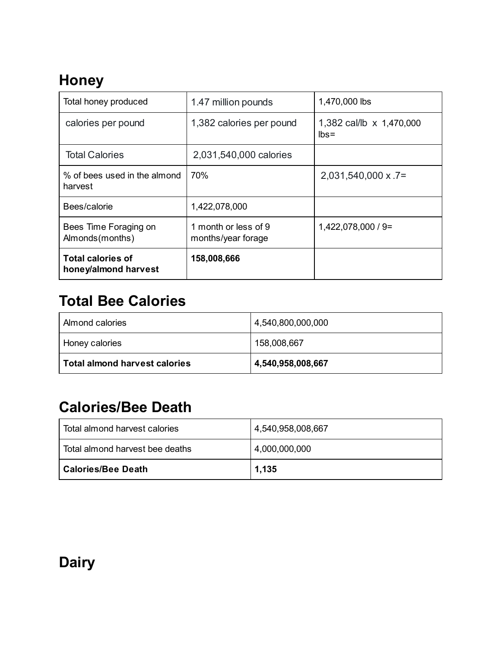## **Honey**

| Total honey produced                             | 1.47 million pounds                        | 1,470,000 lbs                       |
|--------------------------------------------------|--------------------------------------------|-------------------------------------|
| calories per pound                               | 1,382 calories per pound                   | 1,382 cal/lb x 1,470,000<br>$lbs =$ |
| <b>Total Calories</b>                            | 2,031,540,000 calories                     |                                     |
| % of bees used in the almond<br>harvest          | 70%                                        | $2,031,540,000 \times .7=$          |
| Bees/calorie                                     | 1,422,078,000                              |                                     |
| Bees Time Foraging on<br>Almonds(months)         | 1 month or less of 9<br>months/year forage | $1,422,078,000 / 9 =$               |
| <b>Total calories of</b><br>honey/almond harvest | 158,008,666                                |                                     |

## **Total Bee Calories**

| Total almond harvest calories | 4,540,958,008,667 |
|-------------------------------|-------------------|
| I Honey calories              | 158,008,667       |
| Almond calories               | 4,540,800,000,000 |

#### **Calories/Bee Death**

| ∣ Calories/Bee Death              | 1,135             |
|-----------------------------------|-------------------|
| l Total almond harvest bee deaths | 4,000,000,000     |
| l Total almond harvest calories.  | 4,540,958,008,667 |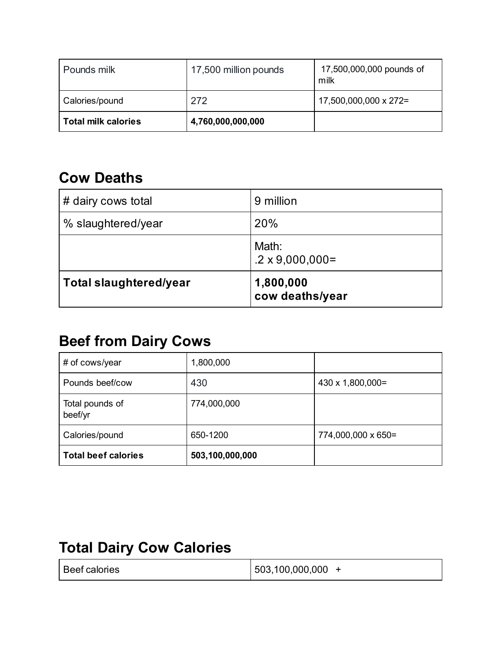| Pounds milk                | 17,500 million pounds | 17,500,000,000 pounds of<br>milk |
|----------------------------|-----------------------|----------------------------------|
| Calories/pound             | 272                   | 17,500,000,000 x 272=            |
| <b>Total milk calories</b> | 4,760,000,000,000     |                                  |

#### **Cow Deaths**

| <b>Total slaughtered/year</b> | 1,800,000<br>cow deaths/year     |
|-------------------------------|----------------------------------|
|                               | Math:<br>$.2 \times 9,000,000 =$ |
| % slaughtered/year            | 20%                              |
| # dairy cows total            | 9 million                        |

## **Beef from Dairy Cows**

| # of cows/year             | 1,800,000       |                    |
|----------------------------|-----------------|--------------------|
| Pounds beef/cow            | 430             | 430 x 1,800,000=   |
| Total pounds of<br>beef/yr | 774,000,000     |                    |
| Calories/pound             | 650-1200        | 774,000,000 x 650= |
| <b>Total beef calories</b> | 503,100,000,000 |                    |

## **Total Dairy Cow Calories**

| Beef calories | 503,100,000,000 |
|---------------|-----------------|
|               |                 |